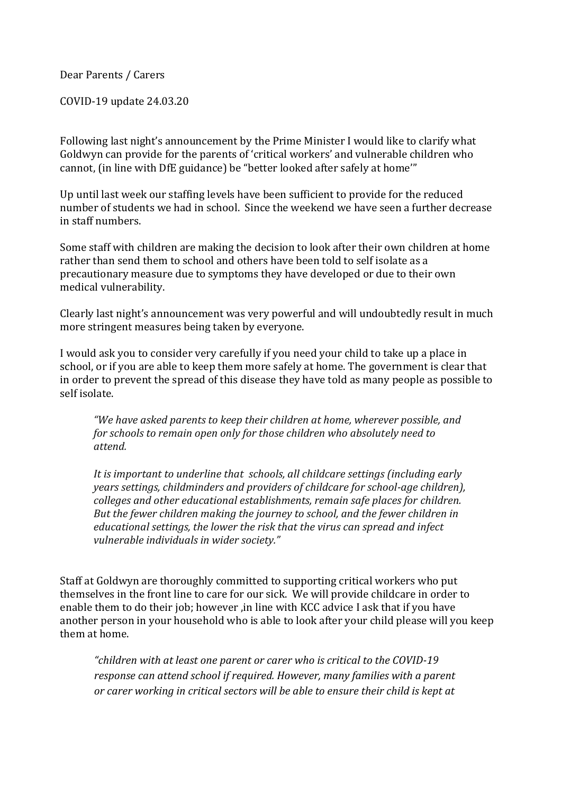Dear Parents / Carers

COVID-19 update 24.03.20

Following last night's announcement by the Prime Minister I would like to clarify what Goldwyn can provide for the parents of 'critical workers' and vulnerable children who cannot, (in line with DfE guidance) be "better looked after safely at home'"

Up until last week our staffing levels have been sufficient to provide for the reduced number of students we had in school. Since the weekend we have seen a further decrease in staff numbers.

Some staff with children are making the decision to look after their own children at home rather than send them to school and others have been told to self isolate as a precautionary measure due to symptoms they have developed or due to their own medical vulnerability.

Clearly last night's announcement was very powerful and will undoubtedly result in much more stringent measures being taken by everyone.

I would ask you to consider very carefully if you need your child to take up a place in school, or if you are able to keep them more safely at home. The government is clear that in order to prevent the spread of this disease they have told as many people as possible to self isolate.

*"We have asked parents to keep their children at home, wherever possible, and for schools to remain open only for those children who absolutely need to attend.*

*It is important to underline that schools, all childcare settings (including early years settings, childminders and providers of childcare for school-age children), colleges and other educational establishments, remain safe places for children. But the fewer children making the journey to school, and the fewer children in educational settings, the lower the risk that the virus can spread and infect vulnerable individuals in wider society."*

Staff at Goldwyn are thoroughly committed to supporting critical workers who put themselves in the front line to care for our sick. We will provide childcare in order to enable them to do their job; however ,in line with KCC advice I ask that if you have another person in your household who is able to look after your child please will you keep them at home.

*"children with at least one parent or carer who is critical to the COVID-19 response can attend school if required. However, many families with a parent or carer working in critical sectors will be able to ensure their child is kept at*